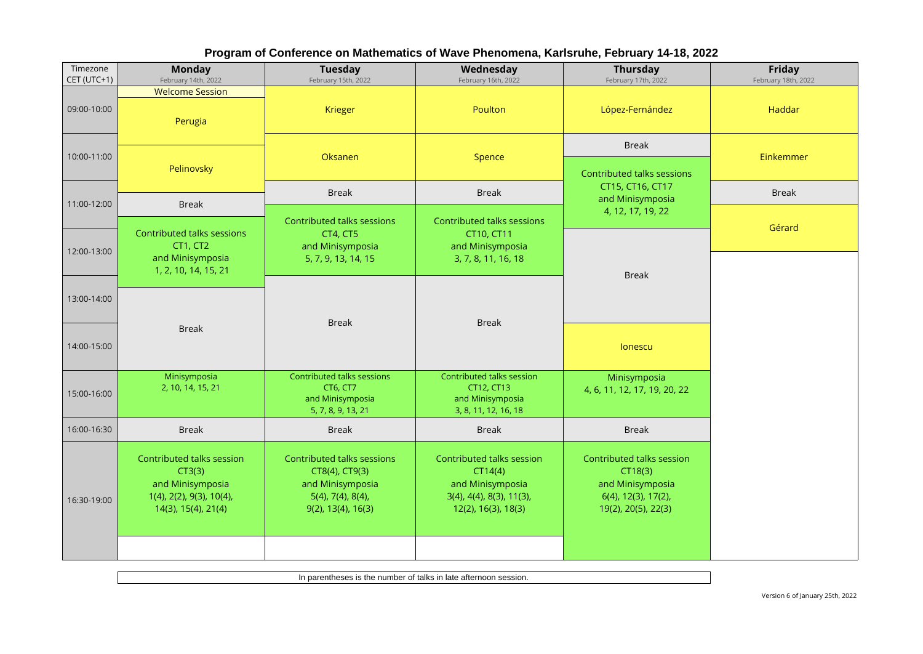| Program of Conference on Mathematics of Wave Phenomena, Karlsruhe, February 14-18, 2022 |  |  |  |
|-----------------------------------------------------------------------------------------|--|--|--|
|                                                                                         |  |  |  |

| Timezone<br>CET (UTC+1) | <b>Monday</b><br>February 14th, 2022                                                                       | <b>Tuesday</b><br>February 15th, 2022                                                                          | Wednesday<br>February 16th, 2022                                                                                        | Thursday<br>February 17th, 2022                                                                        | Friday<br>February 18th, 2022 |  |
|-------------------------|------------------------------------------------------------------------------------------------------------|----------------------------------------------------------------------------------------------------------------|-------------------------------------------------------------------------------------------------------------------------|--------------------------------------------------------------------------------------------------------|-------------------------------|--|
| 09:00-10:00             | <b>Welcome Session</b><br>Perugia                                                                          | Krieger                                                                                                        | Poulton                                                                                                                 | López-Fernández                                                                                        | Haddar                        |  |
| 10:00-11:00             |                                                                                                            | Oksanen                                                                                                        | Spence                                                                                                                  | <b>Break</b>                                                                                           | Einkemmer                     |  |
|                         | Pelinovsky                                                                                                 |                                                                                                                |                                                                                                                         | <b>Contributed talks sessions</b><br>CT15, CT16, CT17                                                  |                               |  |
| 11:00-12:00             | <b>Break</b>                                                                                               | <b>Break</b>                                                                                                   | <b>Break</b>                                                                                                            | and Minisymposia<br>4, 12, 17, 19, 22                                                                  | <b>Break</b>                  |  |
| 12:00-13:00             | Contributed talks sessions<br>CT1, CT2<br>and Minisymposia                                                 | Contributed talks sessions<br>CT4, CT5<br>and Minisymposia<br>5, 7, 9, 13, 14, 15                              | Contributed talks sessions<br>CT10, CT11<br>and Minisymposia<br>3, 7, 8, 11, 16, 18                                     |                                                                                                        | Gérard                        |  |
|                         | 1, 2, 10, 14, 15, 21                                                                                       |                                                                                                                |                                                                                                                         | <b>Break</b>                                                                                           |                               |  |
| 13:00-14:00             |                                                                                                            |                                                                                                                |                                                                                                                         |                                                                                                        |                               |  |
| 14:00-15:00             | <b>Break</b>                                                                                               | <b>Break</b>                                                                                                   | <b>Break</b>                                                                                                            | lonescu                                                                                                |                               |  |
| 15:00-16:00             | Minisymposia<br>2, 10, 14, 15, 21                                                                          | Contributed talks sessions<br>CT6, CT7<br>and Minisymposia<br>5, 7, 8, 9, 13, 21                               | Contributed talks session<br>CT12, CT13<br>and Minisymposia<br>3, 8, 11, 12, 16, 18                                     | Minisymposia<br>4, 6, 11, 12, 17, 19, 20, 22                                                           |                               |  |
| 16:00-16:30             | <b>Break</b>                                                                                               | <b>Break</b>                                                                                                   | <b>Break</b>                                                                                                            | <b>Break</b>                                                                                           |                               |  |
| 16:30-19:00             | Contributed talks session<br>CT3(3)<br>and Minisymposia<br>1(4), 2(2), 9(3), 10(4),<br>14(3), 15(4), 21(4) | Contributed talks sessions<br>CT8(4), CT9(3)<br>and Minisymposia<br>$5(4)$ , 7(4), 8(4),<br>9(2), 13(4), 16(3) | Contributed talks session<br>CT14(4)<br>and Minisymposia<br>$3(4)$ , $4(4)$ , $8(3)$ , $11(3)$ ,<br>12(2), 16(3), 18(3) | Contributed talks session<br>CT18(3)<br>and Minisymposia<br>6(4), 12(3), 17(2),<br>19(2), 20(5), 22(3) |                               |  |
|                         |                                                                                                            |                                                                                                                |                                                                                                                         |                                                                                                        |                               |  |

In parentheses is the number of talks in late afternoon session.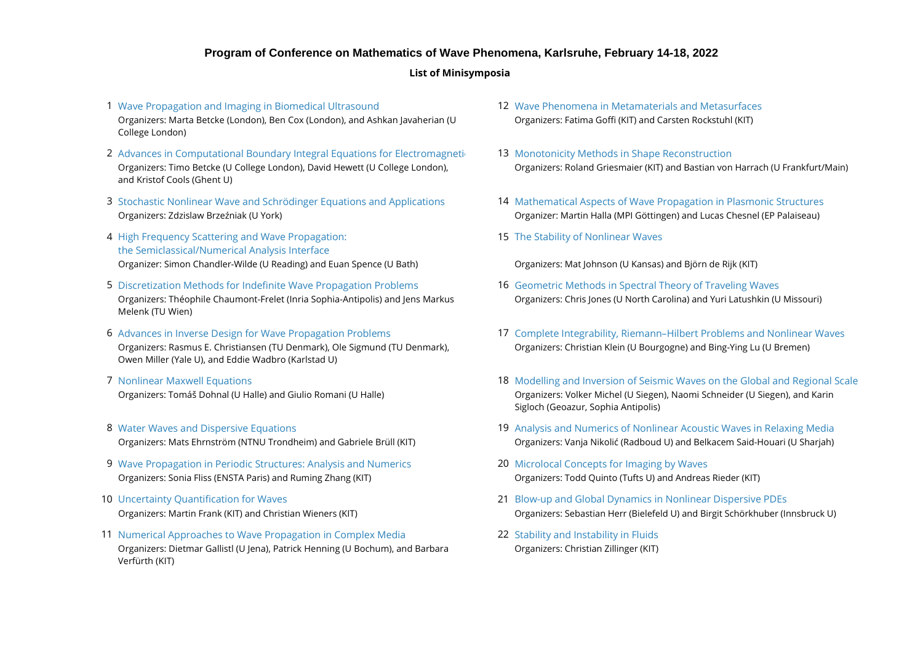#### **Program of Conference on Mathematics of Wave Phenomena, Karlsruhe, February 14-18, 2022**

#### **List of Minisymposia**

- 1 [Wave Propagation and Imaging in Biomedical Ultrasound](https://conference22.waves.kit.edu/?page_id=126) National Machines Market Phenomena in Metamaterials and Metasurfaces (1989) and Metasurfaces (1989) and Metasurfaces (1989) and Metasurfaces (1989) and Metasurfaces ( Organizers: Marta Betcke (London), Ben Cox (London), and Ashkan Javaherian (U College London)
- 2 Advances in Computational Boundary Integral Equations for Electromagneti **13** [Monotonicity Methods in Shape Reconstruction](https://conference22.waves.kit.edu/?page_id=173) Organizers: Timo Betcke (U College London), David Hewett (U College London), and Kristof Cools (Ghent U)
- 3 [Stochastic Nonlinear Wave and Schrödinger Equations and Applications](https://conference22.waves.kit.edu/?page_id=151) 14 [Mathematical Aspects of Wave Propagation in Plasmonic Structures](https://conference22.waves.kit.edu/?page_id=175) Organizers: Zdzislaw Brzeźniak (U York) Organizer: Martin Halla (MPI Göttingen) and Lucas Chesnel (EP Palaiseau)
- 4 15 [High Frequency Scattering and Wave Propagation:](https://conference22.waves.kit.edu/?page_id=155) Organizer: Simon Chandler-Wilde (U Reading) and Euan Spence (U Bath) Organizers: Mat Johnson (U Kansas) and Björn de Rijk (KIT) [the Semiclassical/Numerical Analysis Interface](https://conference22.waves.kit.edu/?page_id=155)
- 5 [Discretization Methods for Indefinite Wave Propagation Problems](https://conference22.waves.kit.edu/?page_id=157) **Geomethods 16 Geometric Methods in Spectral** Theory of Traveling Waves Organizers: Théophile Chaumont-Frelet (Inria Sophia-Antipolis) and Jens Markus Melenk (TU Wien)
- 6 Advances in Inverse Design for Wave Propagation Problems Organizers: Rasmus E. Christiansen (TU Denmark), Ole Sigmund (TU Denmark), Owen Miller (Yale U), and Eddie Wadbro (Karlstad U)
- 7 Nonlinear Maxwell Equations Organizers: Tomáš Dohnal (U Halle) and Giulio Romani (U Halle)
- 8 Water Waves and Dispersive Equations
- 9 [Wave Propagation in Periodic Structures: Analysis and Numerics](https://conference22.waves.kit.edu/?page_id=165) **Microlocal Conceptation Concepts for Imaging by Waves** Organizers: Sonia Fliss (ENSTA Paris) and Ruming Zhang (KIT) Organizers: Todd Quinto (Tufts U) and Andreas Rieder (KIT)
- 10 Uncertainty Ouantification for Wayes
- 11 22 [Numerical Approaches to Wave Propagation in Complex Media](https://conference22.waves.kit.edu/?page_id=169) [Stability and Instability in Fluids](https://conference22.waves.kit.edu/?page_id=191) Organizers: Dietmar Gallistl (U Jena), Patrick Henning (U Bochum), and Barbara Verfürth (KIT)
- Organizers: Fatima Goffi (KIT) and Carsten Rockstuhl (KIT)
- Organizers: Roland Griesmaier (KIT) and Bastian von Harrach (U Frankfurt/Main)
- 
- 15 [The Stability of Nonlinear Waves](https://conference22.waves.kit.edu/?page_id=177)

- Organizers: Chris Jones (U North Carolina) and Yuri Latushkin (U Missouri)
- Organizers: Christian Klein (U Bourgogne) and Bing-Ying Lu (U Bremen) 17 [Complete Integrability, Riemann–Hilbert Problems and Nonlinear Waves](https://conference22.waves.kit.edu/?page_id=181)
- 18 [Modelling and Inversion of Seismic Waves on the Global and Regional Scale](https://conference22.waves.kit.edu/?page_id=183) Organizers: Volker Michel (U Siegen), Naomi Schneider (U Siegen), and Karin Sigloch (Geoazur, Sophia Antipolis)
- Organizers: Mats Ehrnström (NTNU Trondheim) and Gabriele Brüll (KIT) Organizers: Vanja Nikolić (Radboud U) and Belkacem Said-Houari (U Sharjah) 19 [Analysis and Numerics of Nonlinear Acoustic Waves in Relaxing Media](https://conference22.waves.kit.edu/?page_id=185)
	-
- Organizers: Martin Frank (KIT) and Christian Wieners (KIT) Organizers: Sebastian Herr (Bielefeld U) and Birgit Schörkhuber (Innsbruck U) 21 [Blow-up and Global Dynamics in Nonlinear Dispersive PDEs](https://conference22.waves.kit.edu/?page_id=189)
	- Organizers: Christian Zillinger (KIT)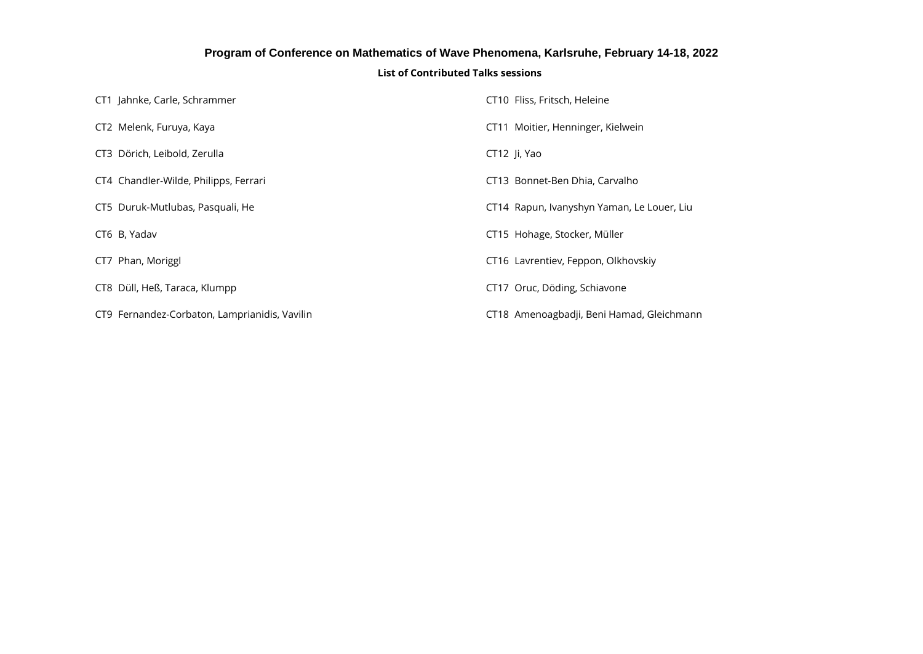### **Program of Conference on Mathematics of Wave Phenomena, Karlsruhe, February 14-18, 2022**

#### **List of Contributed Talks sessions**

| CT1 Jahnke, Carle, Schrammer                  | CT10 Fliss, Fritsch, Heleine               |
|-----------------------------------------------|--------------------------------------------|
| CT2 Melenk, Furuya, Kaya                      | CT11 Moitier, Henninger, Kielwein          |
| CT3 Dörich, Leibold, Zerulla                  | CT12 Ji, Yao                               |
| CT4 Chandler-Wilde, Philipps, Ferrari         | CT13 Bonnet-Ben Dhia, Carvalho             |
| CT5 Duruk-Mutlubas, Pasquali, He              | CT14 Rapun, Ivanyshyn Yaman, Le Louer, Liu |
| CT6 B, Yadav                                  | CT15 Hohage, Stocker, Müller               |
| CT7 Phan, Moriggl                             | CT16 Lavrentiev, Feppon, Olkhovskiy        |
| CT8 Düll, Heß, Taraca, Klumpp                 | CT17 Oruc, Döding, Schiavone               |
| CT9 Fernandez-Corbaton, Lamprianidis, Vavilin | CT18 Amenoagbadji, Beni Hamad, Gleichmann  |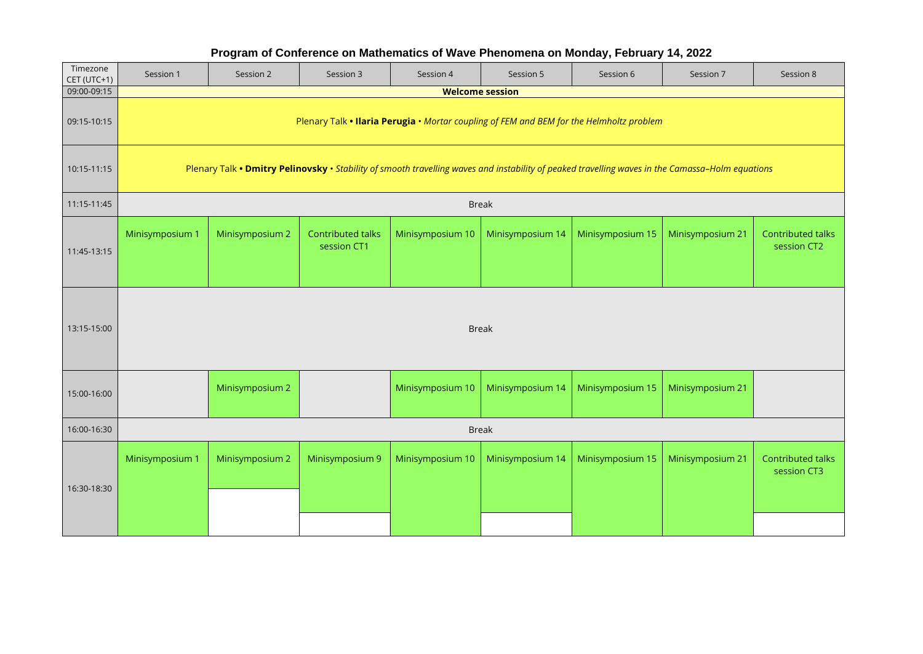## **Program of Conference on Mathematics of Wave Phenomena on Monday, February 14, 2022**

| Timezone<br>CET (UTC+1) | Session 1                                                                                                                                        | Session 2       | Session 3                        | Session 4        | Session 5        | Session 6        | Session 7        | Session 8                        |  |
|-------------------------|--------------------------------------------------------------------------------------------------------------------------------------------------|-----------------|----------------------------------|------------------|------------------|------------------|------------------|----------------------------------|--|
| 09:00-09:15             | <b>Welcome session</b>                                                                                                                           |                 |                                  |                  |                  |                  |                  |                                  |  |
| 09:15-10:15             | Plenary Talk . Ilaria Perugia . Mortar coupling of FEM and BEM for the Helmholtz problem                                                         |                 |                                  |                  |                  |                  |                  |                                  |  |
| 10:15-11:15             | Plenary Talk • Dmitry Pelinovsky · Stability of smooth travelling waves and instability of peaked travelling waves in the Camassa-Holm equations |                 |                                  |                  |                  |                  |                  |                                  |  |
| 11:15-11:45             |                                                                                                                                                  |                 |                                  |                  | <b>Break</b>     |                  |                  |                                  |  |
| 11:45-13:15             | Minisymposium 1                                                                                                                                  | Minisymposium 2 | Contributed talks<br>session CT1 | Minisymposium 10 | Minisymposium 14 | Minisymposium 15 | Minisymposium 21 | Contributed talks<br>session CT2 |  |
| 13:15-15:00             | <b>Break</b>                                                                                                                                     |                 |                                  |                  |                  |                  |                  |                                  |  |
| 15:00-16:00             |                                                                                                                                                  | Minisymposium 2 |                                  | Minisymposium 10 | Minisymposium 14 | Minisymposium 15 | Minisymposium 21 |                                  |  |
| 16:00-16:30             | <b>Break</b>                                                                                                                                     |                 |                                  |                  |                  |                  |                  |                                  |  |
| 16:30-18:30             | Minisymposium 1                                                                                                                                  | Minisymposium 2 | Minisymposium 9                  | Minisymposium 10 | Minisymposium 14 | Minisymposium 15 | Minisymposium 21 | Contributed talks<br>session CT3 |  |
|                         |                                                                                                                                                  |                 |                                  |                  |                  |                  |                  |                                  |  |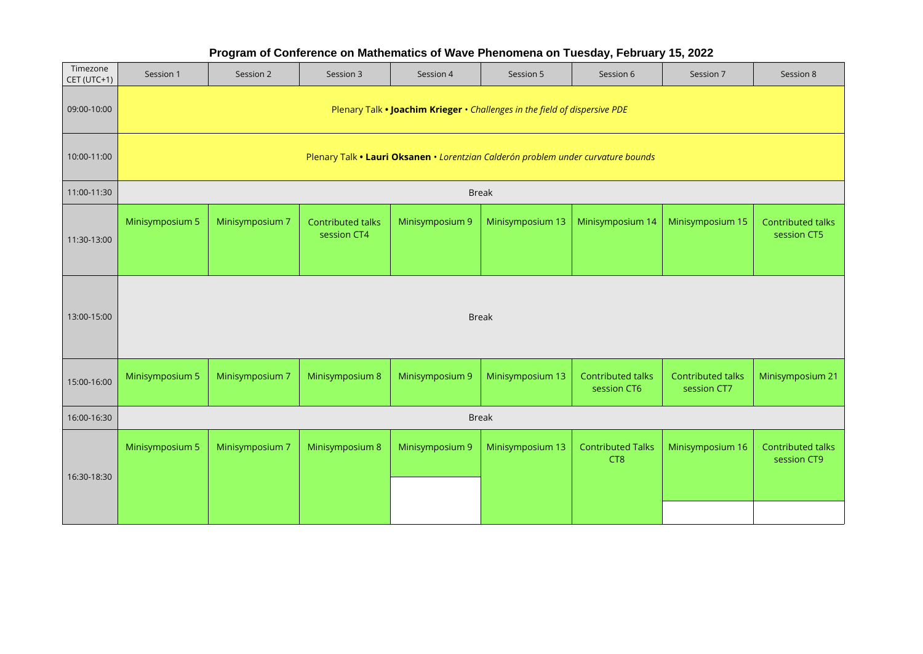| Timezone<br>CET (UTC+1) | Session 1                                                                         | Session 2       | Session 3                               | Session 4       | Session 5        | Session 6                                   | Session 7                        | Session 8                        |  |
|-------------------------|-----------------------------------------------------------------------------------|-----------------|-----------------------------------------|-----------------|------------------|---------------------------------------------|----------------------------------|----------------------------------|--|
| 09:00-10:00             | Plenary Talk • Joachim Krieger • Challenges in the field of dispersive PDE        |                 |                                         |                 |                  |                                             |                                  |                                  |  |
| 10:00-11:00             | Plenary Talk • Lauri Oksanen • Lorentzian Calderón problem under curvature bounds |                 |                                         |                 |                  |                                             |                                  |                                  |  |
| 11:00-11:30             |                                                                                   |                 |                                         |                 | <b>Break</b>     |                                             |                                  |                                  |  |
| 11:30-13:00             | Minisymposium 5                                                                   | Minisymposium 7 | <b>Contributed talks</b><br>session CT4 | Minisymposium 9 | Minisymposium 13 | Minisymposium 14                            | Minisymposium 15                 | Contributed talks<br>session CT5 |  |
| 13:00-15:00             | <b>Break</b>                                                                      |                 |                                         |                 |                  |                                             |                                  |                                  |  |
| 15:00-16:00             | Minisymposium 5                                                                   | Minisymposium 7 | Minisymposium 8                         | Minisymposium 9 | Minisymposium 13 | <b>Contributed talks</b><br>session CT6     | Contributed talks<br>session CT7 | Minisymposium 21                 |  |
| 16:00-16:30             | <b>Break</b>                                                                      |                 |                                         |                 |                  |                                             |                                  |                                  |  |
| 16:30-18:30             | Minisymposium 5                                                                   | Minisymposium 7 | Minisymposium 8                         | Minisymposium 9 | Minisymposium 13 | <b>Contributed Talks</b><br>CT <sub>8</sub> | Minisymposium 16                 | Contributed talks<br>session CT9 |  |
|                         |                                                                                   |                 |                                         |                 |                  |                                             |                                  |                                  |  |

## **Program of Conference on Mathematics of Wave Phenomena on Tuesday, February 15, 2022**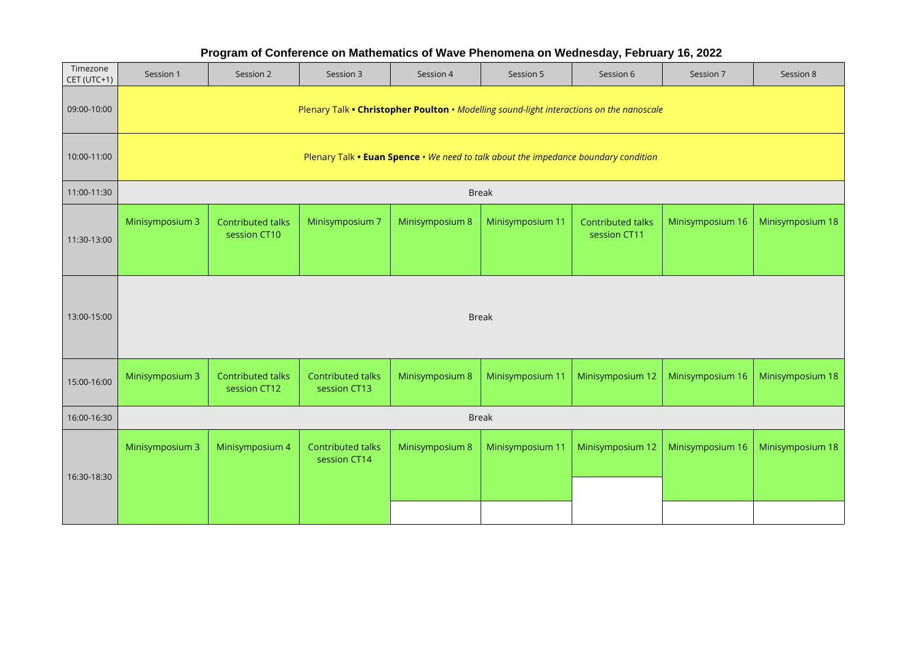# Session 1 | Session 2 | Session 3 | Session 4 | Session 5 | Session 7 | Session 8 09:00-10:00 10:00-11:00 11:00-11:30 Break 11:30-13:00 Minisymposium 3 Contributed talks Minisymposium 7 Minisymposium 8 Minisymposium 11 Contributed talks Minisymposium 16 Minisymposium 18 13:00-15:00 Break 15:00-16:00 Minisymposium 3 Minisymposium 8 Minisymposium 11 Minisymposium 12 Minisymposium 16 Minisymposium 18 16:00-16:30 Break 16:30-18:30 Minisymposium 3 | Minisymposium 4 | Contributed talks | Minisymposium 8 | Minisymposium 11 | Minisymposium 12 | Minisymposium 16 | Minisymposium 18 Timezone CET (UTC+1) Plenary Talk **• Christopher Poulton** • *Modelling sound-light interactions on the nanoscale* Plenary Talk **• Euan Spence** • *We need to talk about the impedance boundary condition* Contributed talks session CT10 Contributed talks session CT11 Contributed talks session CT12 Contributed talks session CT13 Contributed talks session CT14

**Program of Conference on Mathematics of Wave Phenomena on Wednesday, February 16, 2022**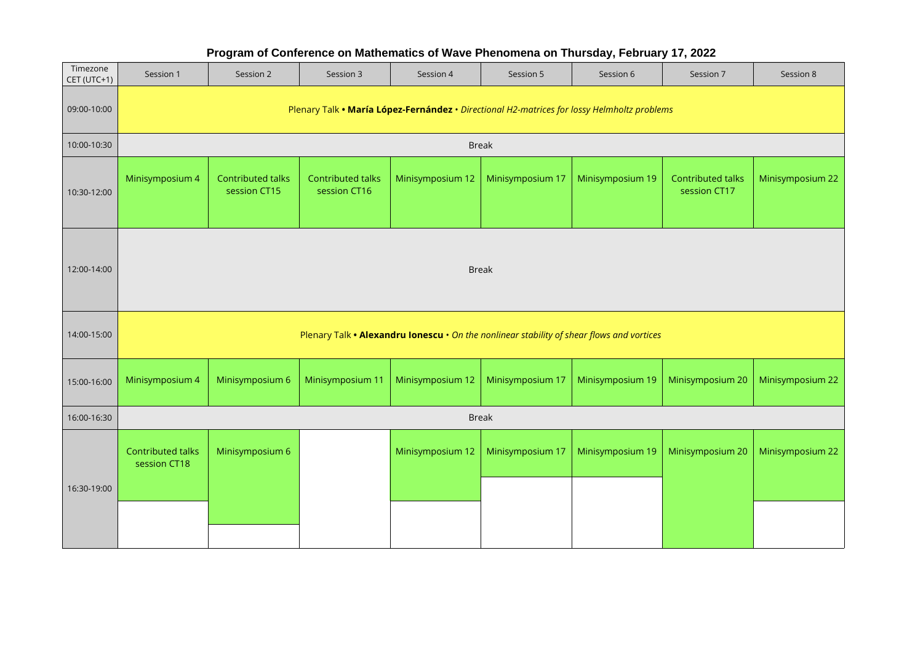# Session 1 | Session 2 | Session 3 | Session 4 | Session 5 | Session 7 | Session 8 09:00-10:00 10:00-10:30 Break 10:30-12:00 Minisymposium 4 | Contributed talks | Contributed talks |Minisymposium 12 |Minisymposium 17 |Minisymposium 19 | Contributed talks |Minisymposium 22 12:00-14:00 Break 14:00-15:00 15:00-16:00 | Minisymposium 4 | Minisymposium 6 | Minisymposium 11 | Minisymposium 12 | Minisymposium 17 | Minisymposium 19 | Minisymposium 20 | Minisymposium 22 16:00-16:30 Break 16:30-19:00 Minisymposium 6 Minisymposium 12 | Minisymposium 17 | Minisymposium 19 | Minisymposium 20 | Minisymposium 22 Timezone CET (UTC+1) Plenary Talk **• María López-Fernández** • *Directional H2-matrices for lossy Helmholtz problems* Contributed talks session CT15 Contributed talks session CT16 Contributed talks session CT17 Plenary Talk **• Alexandru Ionescu** • *On the nonlinear stability of shear flows and vortices* Contributed talks session CT18

#### **Program of Conference on Mathematics of Wave Phenomena on Thursday, February 17, 2022**